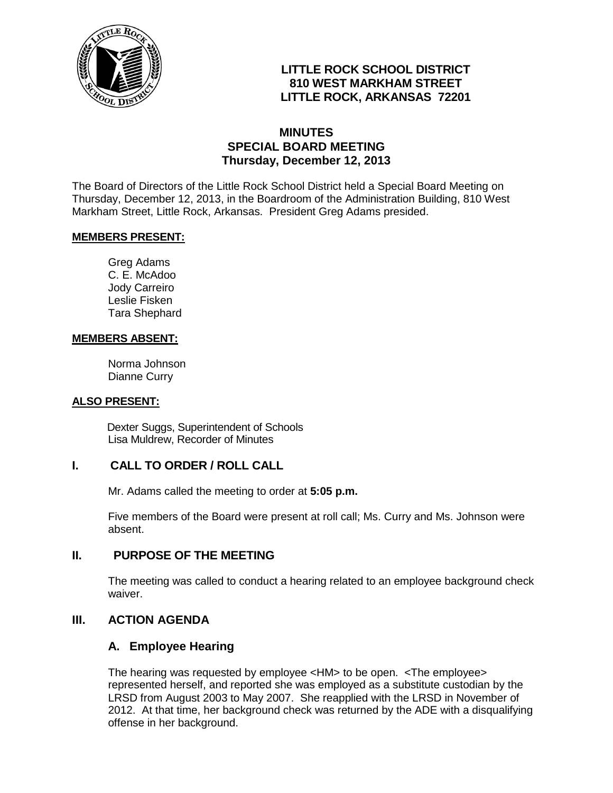

# **LITTLE ROCK SCHOOL DISTRICT 810 WEST MARKHAM STREET LITTLE ROCK, ARKANSAS 72201**

## **MINUTES SPECIAL BOARD MEETING Thursday, December 12, 2013**

The Board of Directors of the Little Rock School District held a Special Board Meeting on Thursday, December 12, 2013, in the Boardroom of the Administration Building, 810 West Markham Street, Little Rock, Arkansas. President Greg Adams presided.

### **MEMBERS PRESENT:**

Greg Adams C. E. McAdoo Jody Carreiro Leslie Fisken Tara Shephard

### **MEMBERS ABSENT:**

Norma Johnson Dianne Curry

### **ALSO PRESENT:**

 Dexter Suggs, Superintendent of Schools Lisa Muldrew, Recorder of Minutes

## **I. CALL TO ORDER / ROLL CALL**

Mr. Adams called the meeting to order at **5:05 p.m.**

Five members of the Board were present at roll call; Ms. Curry and Ms. Johnson were absent.

### **II. PURPOSE OF THE MEETING**

The meeting was called to conduct a hearing related to an employee background check waiver.

## **III. ACTION AGENDA**

## **A. Employee Hearing**

The hearing was requested by employee <HM> to be open. <The employee> represented herself, and reported she was employed as a substitute custodian by the LRSD from August 2003 to May 2007. She reapplied with the LRSD in November of 2012. At that time, her background check was returned by the ADE with a disqualifying offense in her background.